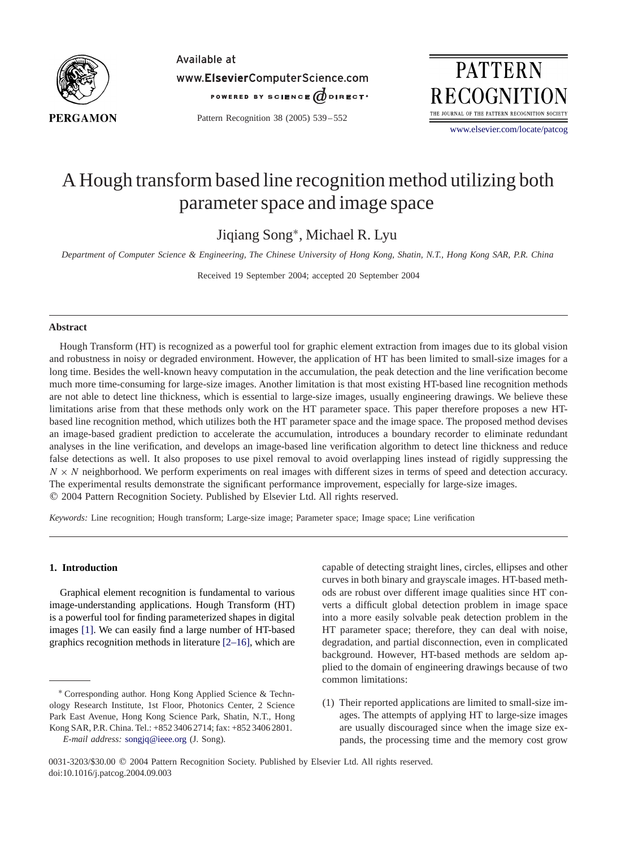

Available at www.ElsevierComputerScience.com POWERED BY SCIENCE ODIRECT.

Pattern Recognition 38 (2005) 539 – 552

**PATTERN RECOGNIT** THE JOURNAL OF THE PATTERN RECOGNITION SOCIETY

[www.elsevier.com/locate/patcog](http://www.elsevier.com/locate/patcog)

# A Hough transform based line recognition method utilizing both parameter space and image space

Jiqiang Song<sup>∗</sup>, Michael R. Lyu

*Department of Computer Science & Engineering, The Chinese University of Hong Kong, Shatin, N.T., Hong Kong SAR, P.R. China*

Received 19 September 2004; accepted 20 September 2004

#### **Abstract**

Hough Transform (HT) is recognized as a powerful tool for graphic element extraction from images due to its global vision and robustness in noisy or degraded environment. However, the application of HT has been limited to small-size images for a long time. Besides the well-known heavy computation in the accumulation, the peak detection and the line verification become much more time-consuming for large-size images. Another limitation is that most existing HT-based line recognition methods are not able to detect line thickness, which is essential to large-size images, usually engineering drawings. We believe these limitations arise from that these methods only work on the HT parameter space. This paper therefore proposes a new HTbased line recognition method, which utilizes both the HT parameter space and the image space. The proposed method devises an image-based gradient prediction to accelerate the accumulation, introduces a boundary recorder to eliminate redundant analyses in the line verification, and develops an image-based line verification algorithm to detect line thickness and reduce false detections as well. It also proposes to use pixel removal to avoid overlapping lines instead of rigidly suppressing the  $N \times N$  neighborhood. We perform experiments on real images with different sizes in terms of speed and detection accuracy. The experimental results demonstrate the significant performance improvement, especially for large-size images. 2004 Pattern Recognition Society. Published by Elsevier Ltd. All rights reserved.

*Keywords:* Line recognition; Hough transform; Large-size image; Parameter space; Image space; Line verification

## **1. Introduction**

Graphical element recognition is fundamental to various image-understanding applications. Hough Transform (HT) is a powerful tool for finding parameterized shapes in digital images [\[1\].](#page-12-0) We can easily find a large number of HT-based graphics recognition methods in literature [2–16], which are capable of detecting straight lines, circles, ellipses and other curves in both binary and grayscale images. HT-based methods are robust over different image qualities since HT converts a difficult global detection problem in image space into a more easily solvable peak detection problem in the HT parameter space; therefore, they can deal with noise, degradation, and partial disconnection, even in complicated background. However, HT-based methods are seldom applied to the domain of engineering drawings because of two common limitations:

(1) Their reported applications are limited to small-size images. The attempts of applying HT to large-size images are usually discouraged since when the image size expands, the processing time and the memory cost grow

<sup>∗</sup> Corresponding author. Hong Kong Applied Science & Technology Research Institute, 1st Floor, Photonics Center, 2 Science Park East Avenue, Hong Kong Science Park, Shatin, N.T., Hong Kong SAR, P.R. China. Tel.: +852 3406 2714; fax: +852 3406 2801.

*E-mail address:* [songjq@ieee.org](mailto:songjq@ieee.org) (J. Song).

<sup>0031-3203/\$30.00</sup> 2004 Pattern Recognition Society. Published by Elsevier Ltd. All rights reserved. doi:10.1016/j.patcog.2004.09.003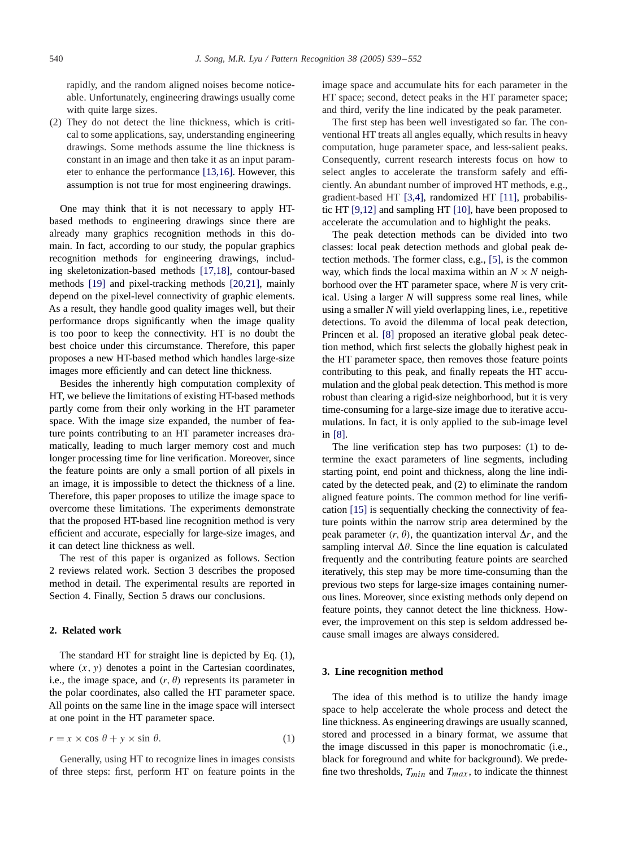rapidly, and the random aligned noises become noticeable. Unfortunately, engineering drawings usually come with quite large sizes.

(2) They do not detect the line thickness, which is critical to some applications, say, understanding engineering drawings. Some methods assume the line thickness is constant in an image and then take it as an input parameter to enhance the performance [13,16]. However, this assumption is not true for most engineering drawings.

One may think that it is not necessary to apply HTbased methods to engineering drawings since there are already many graphics recognition methods in this domain. In fact, according to our study, the popular graphics recognition methods for engineering drawings, including skeletonization-based methods [17,18], contour-based methods [\[19\]](#page-13-0) and pixel-tracking methods [20,21], mainly depend on the pixel-level connectivity of graphic elements. As a result, they handle good quality images well, but their performance drops significantly when the image quality is too poor to keep the connectivity. HT is no doubt the best choice under this circumstance. Therefore, this paper proposes a new HT-based method which handles large-size images more efficiently and can detect line thickness.

Besides the inherently high computation complexity of HT, we believe the limitations of existing HT-based methods partly come from their only working in the HT parameter space. With the image size expanded, the number of feature points contributing to an HT parameter increases dramatically, leading to much larger memory cost and much longer processing time for line verification. Moreover, since the feature points are only a small portion of all pixels in an image, it is impossible to detect the thickness of a line. Therefore, this paper proposes to utilize the image space to overcome these limitations. The experiments demonstrate that the proposed HT-based line recognition method is very efficient and accurate, especially for large-size images, and it can detect line thickness as well.

The rest of this paper is organized as follows. Section 2 reviews related work. Section 3 describes the proposed method in detail. The experimental results are reported in Section 4. Finally, Section 5 draws our conclusions.

# **2. Related work**

The standard HT for straight line is depicted by Eq. (1), where  $(x, y)$  denotes a point in the Cartesian coordinates, i.e., the image space, and  $(r, \theta)$  represents its parameter in the polar coordinates, also called the HT parameter space. All points on the same line in the image space will intersect at one point in the HT parameter space.

$$
r = x \times \cos \theta + y \times \sin \theta. \tag{1}
$$

Generally, using HT to recognize lines in images consists of three steps: first, perform HT on feature points in the image space and accumulate hits for each parameter in the HT space; second, detect peaks in the HT parameter space; and third, verify the line indicated by the peak parameter.

The first step has been well investigated so far. The conventional HT treats all angles equally, which results in heavy computation, huge parameter space, and less-salient peaks. Consequently, current research interests focus on how to select angles to accelerate the transform safely and efficiently. An abundant number of improved HT methods, e.g., gradient-based HT [3,4], randomized HT [\[11\],](#page-13-0) probabilistic HT [9,12] and sampling HT [\[10\],](#page-13-0) have been proposed to accelerate the accumulation and to highlight the peaks.

The peak detection methods can be divided into two classes: local peak detection methods and global peak detection methods. The former class, e.g., [\[5\],](#page-12-0) is the common way, which finds the local maxima within an  $N \times N$  neighborhood over the HT parameter space, where *N* is very critical. Using a larger *N* will suppress some real lines, while using a smaller *N* will yield overlapping lines, i.e., repetitive detections. To avoid the dilemma of local peak detection, Princen et al. [\[8\]](#page-13-0) proposed an iterative global peak detection method, which first selects the globally highest peak in the HT parameter space, then removes those feature points contributing to this peak, and finally repeats the HT accumulation and the global peak detection. This method is more robust than clearing a rigid-size neighborhood, but it is very time-consuming for a large-size image due to iterative accumulations. In fact, it is only applied to the sub-image level in [\[8\].](#page-13-0)

The line verification step has two purposes: (1) to determine the exact parameters of line segments, including starting point, end point and thickness, along the line indicated by the detected peak, and (2) to eliminate the random aligned feature points. The common method for line verification [\[15\]](#page-13-0) is sequentially checking the connectivity of feature points within the narrow strip area determined by the peak parameter  $(r, \theta)$ , the quantization interval  $\Delta r$ , and the sampling interval  $\Delta\theta$ . Since the line equation is calculated frequently and the contributing feature points are searched iteratively, this step may be more time-consuming than the previous two steps for large-size images containing numerous lines. Moreover, since existing methods only depend on feature points, they cannot detect the line thickness. However, the improvement on this step is seldom addressed because small images are always considered.

#### **3. Line recognition method**

The idea of this method is to utilize the handy image space to help accelerate the whole process and detect the line thickness. As engineering drawings are usually scanned, stored and processed in a binary format, we assume that the image discussed in this paper is monochromatic (i.e., black for foreground and white for background). We predefine two thresholds,  $T_{min}$  and  $T_{max}$ , to indicate the thinnest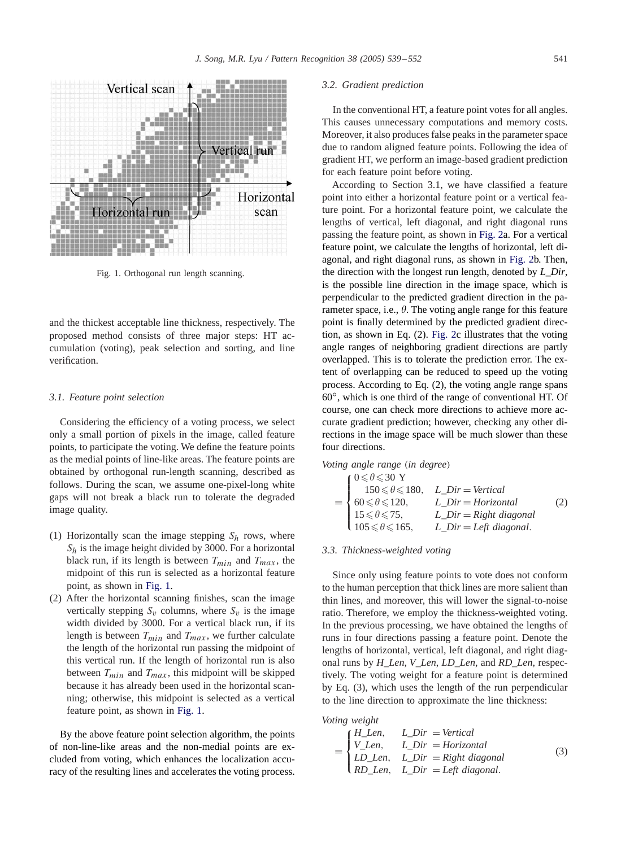

Fig. 1. Orthogonal run length scanning.

and the thickest acceptable line thickness, respectively. The proposed method consists of three major steps: HT accumulation (voting), peak selection and sorting, and line verification.

#### *3.1. Feature point selection*

Considering the efficiency of a voting process, we select only a small portion of pixels in the image, called feature points, to participate the voting. We define the feature points as the medial points of line-like areas. The feature points are obtained by orthogonal run-length scanning, described as follows. During the scan, we assume one-pixel-long white gaps will not break a black run to tolerate the degraded image quality.

- (1) Horizontally scan the image stepping  $S_h$  rows, where  $S_h$  is the image height divided by 3000. For a horizontal black run, if its length is between  $T_{min}$  and  $T_{max}$ , the midpoint of this run is selected as a horizontal feature point, as shown in Fig. 1.
- (2) After the horizontal scanning finishes, scan the image vertically stepping  $S_v$  columns, where  $S_v$  is the image width divided by 3000. For a vertical black run, if its length is between  $T_{min}$  and  $T_{max}$ , we further calculate the length of the horizontal run passing the midpoint of this vertical run. If the length of horizontal run is also between  $T_{min}$  and  $T_{max}$ , this midpoint will be skipped because it has already been used in the horizontal scanning; otherwise, this midpoint is selected as a vertical feature point, as shown in Fig. 1.

By the above feature point selection algorithm, the points of non-line-like areas and the non-medial points are excluded from voting, which enhances the localization accuracy of the resulting lines and accelerates the voting process.

#### *3.2. Gradient prediction*

In the conventional HT, a feature point votes for all angles. This causes unnecessary computations and memory costs. Moreover, it also produces false peaks in the parameter space due to random aligned feature points. Following the idea of gradient HT, we perform an image-based gradient prediction for each feature point before voting.

According to Section 3.1, we have classified a feature point into either a horizontal feature point or a vertical feature point. For a horizontal feature point, we calculate the lengths of vertical, left diagonal, and right diagonal runs passing the feature point, as shown in [Fig. 2a](#page-3-0). For a vertical feature point, we calculate the lengths of horizontal, left diagonal, and right diagonal runs, as shown in [Fig. 2b](#page-3-0). Then, the direction with the longest run length, denoted by *L*\_*Dir*, is the possible line direction in the image space, which is perpendicular to the predicted gradient direction in the parameter space, i.e.,  $\theta$ . The voting angle range for this feature point is finally determined by the predicted gradient direction, as shown in Eq. (2). [Fig. 2c](#page-3-0) illustrates that the voting angle ranges of neighboring gradient directions are partly overlapped. This is to tolerate the prediction error. The extent of overlapping can be reduced to speed up the voting process. According to Eq. (2), the voting angle range spans 60◦, which is one third of the range of conventional HT. Of course, one can check more directions to achieve more accurate gradient prediction; however, checking any other directions in the image space will be much slower than these four directions.

*Voting angle range* (*in degree*)

$$
= \begin{cases} 0 \le \theta \le 30 \text{ Y} \\ 150 \le \theta \le 180, & L\_Dir = Vertical \\ 60 \le \theta \le 120, & L\_Dir = Horizontal \\ 15 \le \theta \le 75, & L\_Dir = Right \ diagonal \\ 105 \le \theta \le 165, & L\_Dir = Left \ diagonal. \end{cases}
$$
 (2)

#### *3.3. Thickness-weighted voting*

Since only using feature points to vote does not conform to the human perception that thick lines are more salient than thin lines, and moreover, this will lower the signal-to-noise ratio. Therefore, we employ the thickness-weighted voting. In the previous processing, we have obtained the lengths of runs in four directions passing a feature point. Denote the lengths of horizontal, vertical, left diagonal, and right diagonal runs by *H*\_*Len*, *V*\_*Len*, *LD*\_*Len*, and *RD*\_*Len*, respectively. The voting weight for a feature point is determined by Eq. (3), which uses the length of the run perpendicular to the line direction to approximate the line thickness:

*Voting weight*

$$
= \begin{cases} H\_Len, & L\_Dir = Vertical \\ V\_Len, & L\_Dir = Horizontal \\ LD\_Len, & L\_Dir = Right \ diagonal \\ RD\_Len, & L\_Dir = Left \ diagonal. \end{cases}
$$
 (3)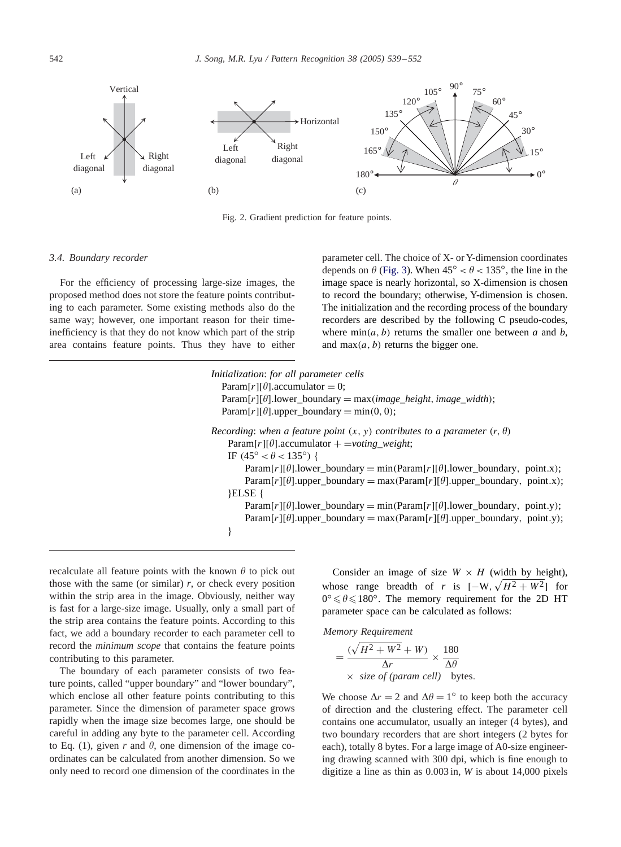<span id="page-3-0"></span>

Fig. 2. Gradient prediction for feature points.

#### *3.4. Boundary recorder*

For the efficiency of processing large-size images, the proposed method does not store the feature points contributing to each parameter. Some existing methods also do the same way; however, one important reason for their timeinefficiency is that they do not know which part of the strip area contains feature points. Thus they have to either

parameter cell. The choice of X- or Y-dimension coordinates depends on  $\theta$  [\(Fig. 3\)](#page-4-0). When  $45^{\circ} < \theta < 135^{\circ}$ , the line in the image space is nearly horizontal, so X-dimension is chosen to record the boundary; otherwise, Y-dimension is chosen. The initialization and the recording process of the boundary recorders are described by the following C pseudo-codes, where  $\min(a, b)$  returns the smaller one between *a* and *b*, and max $(a, b)$  returns the bigger one.

| Initialization: for all parameter cells<br>$Param[r][\theta]$ .accumulator = 0;<br>$Param[r][\theta].lower_bound = max(image\_height, image\_width);$<br>$Param[r][\theta].upper\_boundary = min(0, 0);$ |
|----------------------------------------------------------------------------------------------------------------------------------------------------------------------------------------------------------|
| Recording: when a feature point $(x, y)$ contributes to a parameter $(r, \theta)$                                                                                                                        |
| $Param[r][\theta]$ .accumulator + =voting weight;<br>IF $(45^{\circ} < \theta < 135^{\circ})$ {                                                                                                          |
| $Param[r][\theta].lower-boundary = min(Param[r][\theta].lower-boundary, point.x);$                                                                                                                       |
| $Param[r][\theta].upper\_boundary = max(Param[r][\theta].upper\_boundary, point.x);$                                                                                                                     |
| ELSE {                                                                                                                                                                                                   |
| Param[r][ $\theta$ ].lower_boundary = min(Param[r][ $\theta$ ].lower_boundary, point.y);                                                                                                                 |
| $Param[r][\theta].upper\_boundary = max(Param[r][\theta].upper\_boundary, point.y);$                                                                                                                     |
|                                                                                                                                                                                                          |

recalculate all feature points with the known  $\theta$  to pick out those with the same (or similar)  $r$ , or check every position within the strip area in the image. Obviously, neither way is fast for a large-size image. Usually, only a small part of the strip area contains the feature points. According to this fact, we add a boundary recorder to each parameter cell to record the *minimum scope* that contains the feature points contributing to this parameter.

The boundary of each parameter consists of two feature points, called "upper boundary" and "lower boundary", which enclose all other feature points contributing to this parameter. Since the dimension of parameter space grows rapidly when the image size becomes large, one should be careful in adding any byte to the parameter cell. According to Eq. (1), given *r* and  $\theta$ , one dimension of the image coordinates can be calculated from another dimension. So we only need to record one dimension of the coordinates in the

Consider an image of size  $W \times H$  (width by height), whose range breadth of *r* is  $[-W, \sqrt{H^2 + W^2}]$  for  $0^{\circ} \le \theta \le 180^{\circ}$ . The memory requirement for the 2D HT parameter space can be calculated as follows:

*Memory Requirement*

$$
= \frac{(\sqrt{H^2 + W^2} + W)}{\Delta r} \times \frac{180}{\Delta \theta}
$$
  
× size of (param cell) bytes.

We choose  $\Delta r = 2$  and  $\Delta \theta = 1^\circ$  to keep both the accuracy of direction and the clustering effect. The parameter cell contains one accumulator, usually an integer (4 bytes), and two boundary recorders that are short integers (2 bytes for each), totally 8 bytes. For a large image of A0-size engineering drawing scanned with 300 dpi, which is fine enough to digitize a line as thin as 0.003 in, *W* is about 14,000 pixels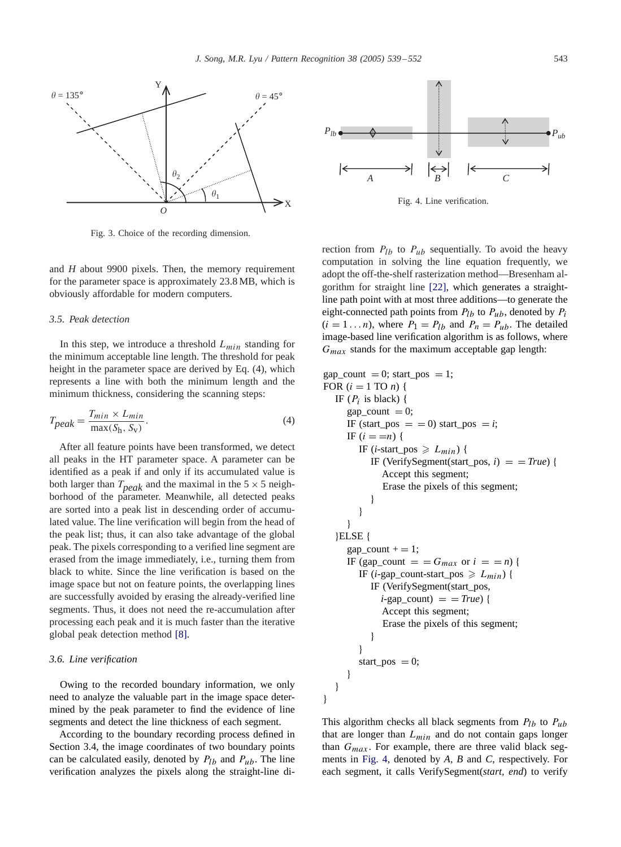<span id="page-4-0"></span>

Fig. 3. Choice of the recording dimension.

and *H* about 9900 pixels. Then, the memory requirement for the parameter space is approximately 23.8 MB, which is obviously affordable for modern computers.

#### *3.5. Peak detection*

In this step, we introduce a threshold  $L_{min}$  standing for the minimum acceptable line length. The threshold for peak height in the parameter space are derived by Eq. (4), which represents a line with both the minimum length and the minimum thickness, considering the scanning steps:

$$
T_{peak} = \frac{T_{min} \times L_{min}}{\max(S_h, S_v)}.
$$
\n(4)

After all feature points have been transformed, we detect all peaks in the HT parameter space. A parameter can be identified as a peak if and only if its accumulated value is both larger than  $T_{peak}$  and the maximal in the  $5 \times 5$  neighborhood of the parameter. Meanwhile, all detected peaks are sorted into a peak list in descending order of accumulated value. The line verification will begin from the head of the peak list; thus, it can also take advantage of the global peak. The pixels corresponding to a verified line segment are erased from the image immediately, i.e., turning them from black to white. Since the line verification is based on the image space but not on feature points, the overlapping lines are successfully avoided by erasing the already-verified line segments. Thus, it does not need the re-accumulation after processing each peak and it is much faster than the iterative global peak detection method [\[8\].](#page-13-0)

## *3.6. Line verification*

Owing to the recorded boundary information, we only need to analyze the valuable part in the image space determined by the peak parameter to find the evidence of line segments and detect the line thickness of each segment.

According to the boundary recording process defined in Section 3.4, the image coordinates of two boundary points can be calculated easily, denoted by  $P_{lb}$  and  $P_{ub}$ . The line verification analyzes the pixels along the straight-line di-



Fig. 4. Line verification.

rection from  $P_{1b}$  to  $P_{ub}$  sequentially. To avoid the heavy computation in solving the line equation frequently, we adopt the off-the-shelf rasterization method—Bresenham algorithm for straight line [\[22\],](#page-13-0) which generates a straightline path point with at most three additions—to generate the eight-connected path points from  $P_{lb}$  to  $P_{ub}$ , denoted by  $P_i$  $(i = 1 \dots n)$ , where  $P_1 = P_{lb}$  and  $P_n = P_{ub}$ . The detailed image-based line verification algorithm is as follows, where  $G_{max}$  stands for the maximum acceptable gap length:

$$
gap_count = 0; start_pos = 1;
$$
  
\nFOR (*i* = 1 TO *n*) {  
\nIF (*P<sub>i</sub>* is black) {  
\n
$$
gap_count = 0;
$$
  
\nIF (*i* = *n*) {  
\nIF (*i* = *n*) {  
\nIF (*i* = *n*) {  
\nIF (*i* = *n*) {  
\nIF (*i* = *n*) {  
\nIF (*i* = *n*) {  
\nIF (*NerifySegment*(start\_pos, *i*) = = *True*) {  
\nAccept this segment;  
\nErase the pixels of this segment;  
\n}  
\n}  
\n}}  
\n}   
\n}   
\n}   
\n} ELSE {  
\n
$$
gap_count += 1;
$$
  
\nIF (*gap\_count* = = *G<sub>max</sub>* or *i* = = *n*) {  
\nIF (*i*-gap\_count-start\_pos ≥ *L<sub>min</sub>*) {  
\nIF (*VerifySegment*(start\_pos, *i*-gap\_count) = = *True*) {  
\nAccept this segment;  
\nErase the pixels of this segment;  
\n}   
\n}   
\nstart\_pos = 0;  
\n}

This algorithm checks all black segments from  $P_{lb}$  to  $P_{ub}$ that are longer than  $L_{min}$  and do not contain gaps longer than  $G_{max}$ . For example, there are three valid black segments in Fig. 4, denoted by *A*, *B* and *C*, respectively. For each segment, it calls VerifySegment(*start, end*) to verify

}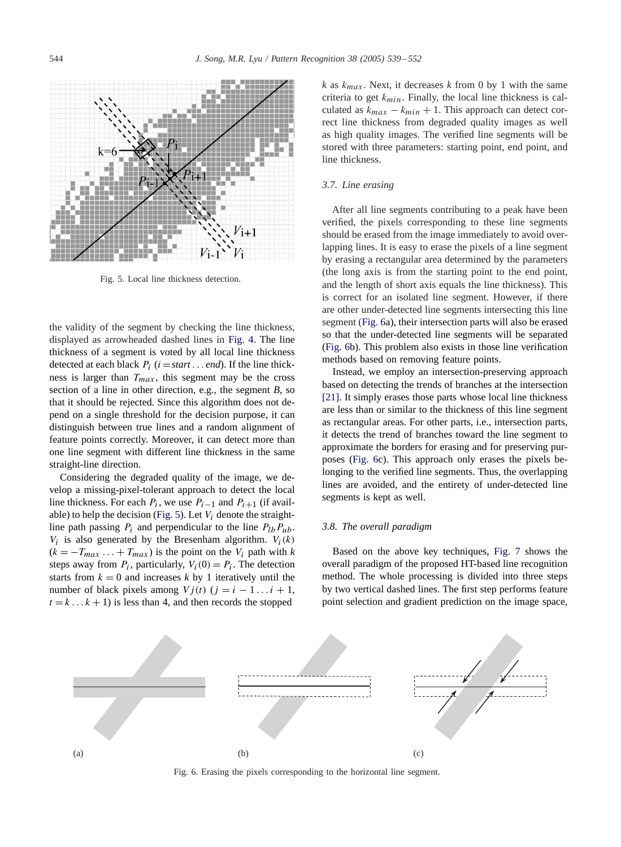

Fig. 5. Local line thickness detection.

the validity of the segment by checking the line thickness, displayed as arrowheaded dashed lines in [Fig. 4.](#page-4-0) The line thickness of a segment is voted by all local line thickness detected at each black  $P_i$  ( $i = start \dots end$ ). If the line thickness is larger than  $T_{max}$ , this segment may be the cross section of a line in other direction, e.g., the segment *B*, so that it should be rejected. Since this algorithm does not depend on a single threshold for the decision purpose, it can distinguish between true lines and a random alignment of feature points correctly. Moreover, it can detect more than one line segment with different line thickness in the same straight-line direction.

Considering the degraded quality of the image, we develop a missing-pixel-tolerant approach to detect the local line thickness. For each  $P_i$ , we use  $P_{i-1}$  and  $P_{i+1}$  (if available) to help the decision (Fig. 5). Let  $V_i$  denote the straightline path passing  $P_i$  and perpendicular to the line  $P_{lb}P_{ub}$ .  $V_i$  is also generated by the Bresenham algorithm.  $V_i(k)$  $(k = -T_{max} \ldots + T_{max})$  is the point on the  $V_i$  path with k steps away from  $P_i$ , particularly,  $V_i(0) = P_i$ . The detection starts from  $k = 0$  and increases k by 1 iteratively until the number of black pixels among  $Vj(t)$  ( $j = i - 1...i + 1$ ,  $t = k \dots k + 1$ ) is less than 4, and then records the stopped

*k* as  $k_{max}$ . Next, it decreases *k* from 0 by 1 with the same criteria to get  $k_{min}$ . Finally, the local line thickness is calculated as  $k_{max} - k_{min} + 1$ . This approach can detect correct line thickness from degraded quality images as well as high quality images. The verified line segments will be stored with three parameters: starting point, end point, and line thickness.

#### *3.7. Line erasing*

After all line segments contributing to a peak have been verified, the pixels corresponding to these line segments should be erased from the image immediately to avoid overlapping lines. It is easy to erase the pixels of a line segment by erasing a rectangular area determined by the parameters (the long axis is from the starting point to the end point, and the length of short axis equals the line thickness). This is correct for an isolated line segment. However, if there are other under-detected line segments intersecting this line segment (Fig. 6a), their intersection parts will also be erased so that the under-detected line segments will be separated (Fig. 6b). This problem also exists in those line verification methods based on removing feature points.

Instead, we employ an intersection-preserving approach based on detecting the trends of branches at the intersection [\[21\].](#page-13-0) It simply erases those parts whose local line thickness are less than or similar to the thickness of this line segment as rectangular areas. For other parts, i.e., intersection parts, it detects the trend of branches toward the line segment to approximate the borders for erasing and for preserving purposes (Fig. 6c). This approach only erases the pixels belonging to the verified line segments. Thus, the overlapping lines are avoided, and the entirety of under-detected line segments is kept as well.

#### *3.8. The overall paradigm*

Based on the above key techniques, [Fig. 7](#page-6-0) shows the overall paradigm of the proposed HT-based line recognition method. The whole processing is divided into three steps by two vertical dashed lines. The first step performs feature point selection and gradient prediction on the image space,



Fig. 6. Erasing the pixels corresponding to the horizontal line segment.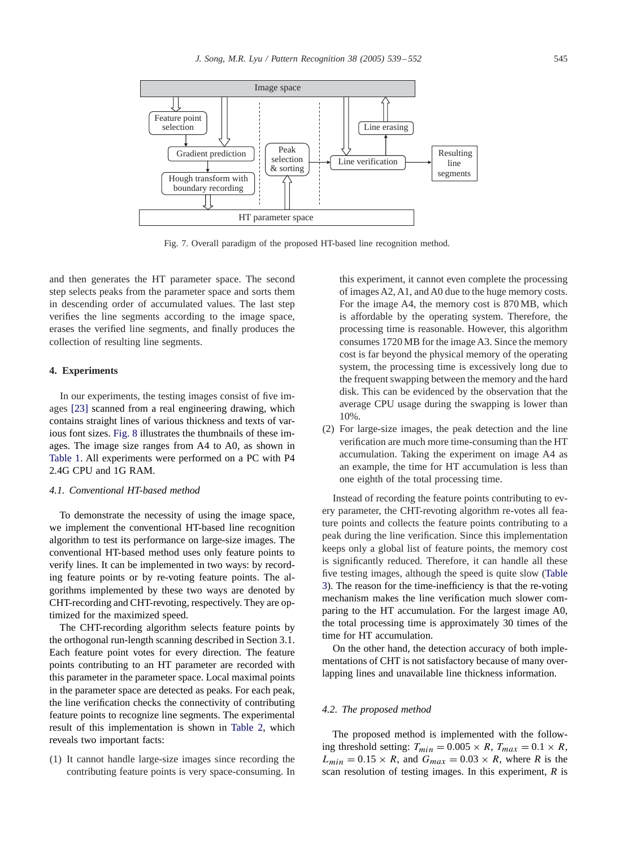<span id="page-6-0"></span>

Fig. 7. Overall paradigm of the proposed HT-based line recognition method.

and then generates the HT parameter space. The second step selects peaks from the parameter space and sorts them in descending order of accumulated values. The last step verifies the line segments according to the image space, erases the verified line segments, and finally produces the collection of resulting line segments.

#### **4. Experiments**

In our experiments, the testing images consist of five images [\[23\]](#page-13-0) scanned from a real engineering drawing, which contains straight lines of various thickness and texts of various font sizes. [Fig. 8](#page-7-0) illustrates the thumbnails of these images. The image size ranges from A4 to A0, as shown in [Table 1.](#page-7-0) All experiments were performed on a PC with P4 2.4G CPU and 1G RAM.

# *4.1. Conventional HT-based method*

To demonstrate the necessity of using the image space, we implement the conventional HT-based line recognition algorithm to test its performance on large-size images. The conventional HT-based method uses only feature points to verify lines. It can be implemented in two ways: by recording feature points or by re-voting feature points. The algorithms implemented by these two ways are denoted by CHT-recording and CHT-revoting, respectively. They are optimized for the maximized speed.

The CHT-recording algorithm selects feature points by the orthogonal run-length scanning described in Section 3.1. Each feature point votes for every direction. The feature points contributing to an HT parameter are recorded with this parameter in the parameter space. Local maximal points in the parameter space are detected as peaks. For each peak, the line verification checks the connectivity of contributing feature points to recognize line segments. The experimental result of this implementation is shown in [Table 2,](#page-7-0) which reveals two important facts:

(1) It cannot handle large-size images since recording the contributing feature points is very space-consuming. In this experiment, it cannot even complete the processing of images A2, A1, and A0 due to the huge memory costs. For the image A4, the memory cost is 870 MB, which is affordable by the operating system. Therefore, the processing time is reasonable. However, this algorithm consumes 1720 MB for the image A3. Since the memory cost is far beyond the physical memory of the operating system, the processing time is excessively long due to the frequent swapping between the memory and the hard disk. This can be evidenced by the observation that the average CPU usage during the swapping is lower than 10%.

(2) For large-size images, the peak detection and the line verification are much more time-consuming than the HT accumulation. Taking the experiment on image A4 as an example, the time for HT accumulation is less than one eighth of the total processing time.

Instead of recording the feature points contributing to every parameter, the CHT-revoting algorithm re-votes all feature points and collects the feature points contributing to a peak during the line verification. Since this implementation keeps only a global list of feature points, the memory cost is significantly reduced. Therefore, it can handle all these fi[ve](#page-8-0) [testing](#page-8-0) [images,](#page-8-0) [although](#page-8-0) [the](#page-8-0) [speed](#page-8-0) [is](#page-8-0) [quite](#page-8-0) [slow](#page-8-0) [\(](#page-8-0)Table 3). The reason for the time-inefficiency is that the re-voting mechanism makes the line verification much slower comparing to the HT accumulation. For the largest image A0, the total processing time is approximately 30 times of the time for HT accumulation.

On the other hand, the detection accuracy of both implementations of CHT is not satisfactory because of many overlapping lines and unavailable line thickness information.

## *4.2. The proposed method*

The proposed method is implemented with the following threshold setting:  $T_{min} = 0.005 \times R$ ,  $T_{max} = 0.1 \times R$ ,  $L_{min} = 0.15 \times R$ , and  $G_{max} = 0.03 \times R$ , where *R* is the scan resolution of testing images. In this experiment, *R* is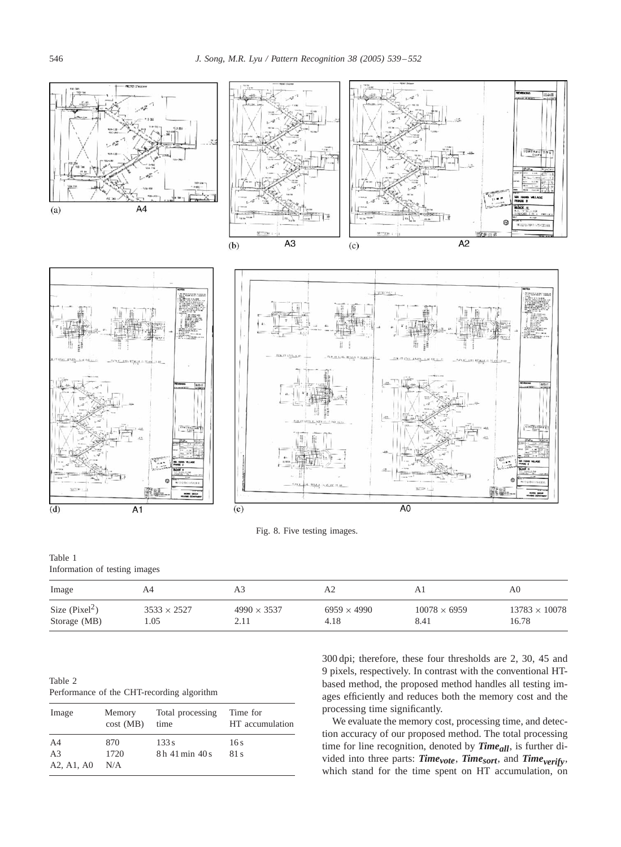<span id="page-7-0"></span>

Table 1 Information of testing images

| Image            | A4                 |                    | A2                 |                     | A0.                  |
|------------------|--------------------|--------------------|--------------------|---------------------|----------------------|
| Size $(Pixel^2)$ | $3533 \times 2527$ | $4990 \times 3537$ | $6959 \times 4990$ | $10078 \times 6959$ | $13783 \times 10078$ |
| Storage (MB)     | .05                |                    | 4.18               | 8.41                | 16.78                |

Table 2 Performance of the CHT-recording algorithm

| Image          | Memory<br>cost(MB) | Total processing<br>time | Time for<br>HT accumulation |
|----------------|--------------------|--------------------------|-----------------------------|
| A4             | 870                | 133 s                    | 16 s                        |
| A <sub>3</sub> | 1720               | 8h 41 min 40 s           | 81 s                        |
| A2, A1, A0     | N/A                |                          |                             |

300 dpi; therefore, these four thresholds are 2, 30, 45 and 9 pixels, respectively. In contrast with the conventional HTbased method, the proposed method handles all testing images efficiently and reduces both the memory cost and the processing time significantly.

We evaluate the memory cost, processing time, and detection accuracy of our proposed method. The total processing time for line recognition, denoted by **Time**<sub>all</sub>, is further divided into three parts: *Timevote*, *Timesort*, and *Timeverify*, which stand for the time spent on HT accumulation, on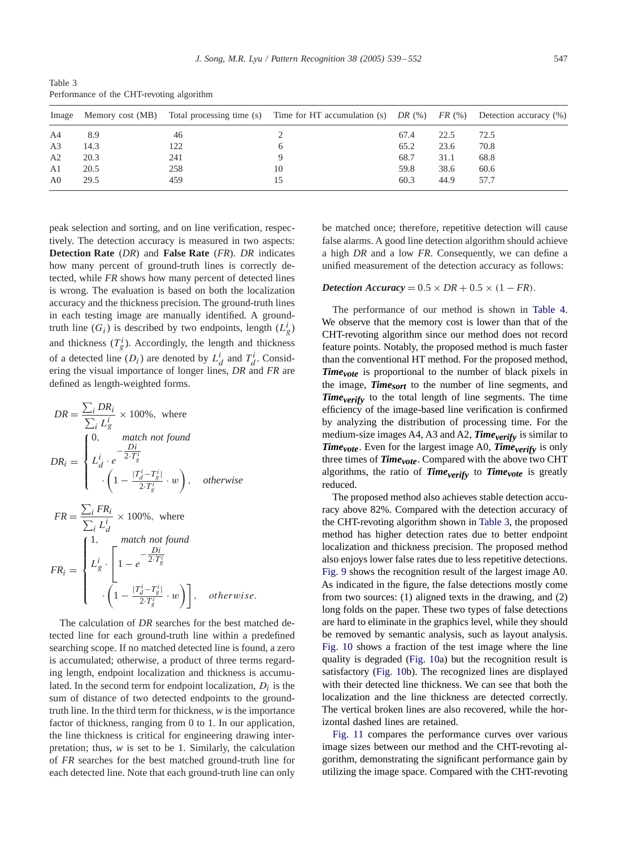<span id="page-8-0"></span>Table 3 Performance of the CHT-revoting algorithm

| Image          |      |     | Memory cost (MB) Total processing time (s) Time for HT accumulation (s) DR (%) FR (%) Detection accuracy (%) |      |      |      |
|----------------|------|-----|--------------------------------------------------------------------------------------------------------------|------|------|------|
| A4             | 8.9  | 46  |                                                                                                              | 67.4 | 22.5 | 72.5 |
| A <sub>3</sub> | 14.3 | 122 |                                                                                                              | 65.2 | 23.6 | 70.8 |
| A2             | 20.3 | 241 |                                                                                                              | 68.7 | 31.1 | 68.8 |
| A <sub>1</sub> | 20.5 | 258 | 10                                                                                                           | 59.8 | 38.6 | 60.6 |
| A <sub>0</sub> | 29.5 | 459 |                                                                                                              | 60.3 | 44.9 | 57.7 |

peak selection and sorting, and on line verification, respectively. The detection accuracy is measured in two aspects: **Detection Rate** (*DR*) and **False Rate** (*FR*). *DR* indicates how many percent of ground-truth lines is correctly detected, while *FR* shows how many percent of detected lines is wrong. The evaluation is based on both the localization accuracy and the thickness precision. The ground-truth lines in each testing image are manually identified. A groundtruth line  $(G_i)$  is described by two endpoints, length  $(L_g^i)$ and thickness  $(T_g^i)$ . Accordingly, the length and thickness of a detected line  $(D_i)$  are denoted by  $L_d^i$  and  $T_d^i$ . Considering the visual importance of longer lines, *DR* and *FR* are defined as length-weighted forms.

$$
DR = \frac{\sum_{i} DR_i}{\sum_{i} L_g^i} \times 100\%, \text{ where}
$$
\n
$$
DR_i = \begin{cases}\n0, & \text{match not found} \\
L_d^i \cdot e^{-\frac{Di}{2 \cdot T_g^i}} \\
\cdot \left(1 - \frac{|T_d^i - T_s^i|}{2 \cdot T_g^i} \cdot w\right), & \text{otherwise}\n\end{cases}
$$
\n
$$
FR = \frac{\sum_{i} FR_i}{\sum_{i} L_d^i} \times 100\%, \text{ where}
$$
\n
$$
FR_i = \begin{cases}\n1, & \text{match not found} \\
L_g^i \cdot \left[1 - e^{-\frac{Di}{2 \cdot T_g^i}} \cdot w\right], & \text{otherwise} \\
\cdot \left(1 - \frac{|T_d^i - T_s^i|}{2 \cdot T_g^i} \cdot w\right)\right], & \text{otherwise}.\n\end{cases}
$$

The calculation of *DR* searches for the best matched detected line for each ground-truth line within a predefined searching scope. If no matched detected line is found, a zero is accumulated; otherwise, a product of three terms regarding length, endpoint localization and thickness is accumulated. In the second term for endpoint localization,  $D_i$  is the sum of distance of two detected endpoints to the groundtruth line. In the third term for thickness, *w* is the importance factor of thickness, ranging from 0 to 1. In our application, the line thickness is critical for engineering drawing interpretation; thus, *w* is set to be 1. Similarly, the calculation of *FR* searches for the best matched ground-truth line for each detected line. Note that each ground-truth line can only

be matched once; therefore, repetitive detection will cause false alarms. A good line detection algorithm should achieve a high *DR* and a low *FR*. Consequently, we can define a unified measurement of the detection accuracy as follows:

## *Detection Accuracy* =  $0.5 \times DR + 0.5 \times (1 - FR)$ .

The performance of our method is shown in [Table 4.](#page-9-0) We observe that the memory cost is lower than that of the CHT-revoting algorithm since our method does not record feature points. Notably, the proposed method is much faster than the conventional HT method. For the proposed method, *Time<sub>vote</sub>* is proportional to the number of black pixels in the image, *Timesort* to the number of line segments, and *Timeverify* to the total length of line segments. The time efficiency of the image-based line verification is confirmed by analyzing the distribution of processing time. For the medium-size images  $A4$ ,  $A3$  and  $A2$ , *Time<sub>verify</sub>* is similar to *Time<sub>vote</sub>*. Even for the largest image A0, *Time<sub>verify</sub>* is only three times of  $Time_{vote}$ . Compared with the above two CHT algorithms, the ratio of *Time<sub>verify</sub>* to *Time<sub>vote</sub>* is greatly reduced.

The proposed method also achieves stable detection accuracy above 82%. Compared with the detection accuracy of the CHT-revoting algorithm shown in Table 3, the proposed method has higher detection rates due to better endpoint localization and thickness precision. The proposed method also enjoys lower false rates due to less repetitive detections. [Fig. 9](#page-9-0) shows the recognition result of the largest image A0. As indicated in the figure, the false detections mostly come from two sources: (1) aligned texts in the drawing, and (2) long folds on the paper. These two types of false detections are hard to eliminate in the graphics level, while they should be removed by semantic analysis, such as layout analysis. [Fig. 10](#page-10-0) shows a fraction of the test image where the line quality is degraded [\(Fig. 10a](#page-10-0)) but the recognition result is satisfactory [\(Fig. 10b](#page-10-0)). The recognized lines are displayed with their detected line thickness. We can see that both the localization and the line thickness are detected correctly. The vertical broken lines are also recovered, while the horizontal dashed lines are retained.

[Fig. 11](#page-10-0) compares the performance curves over various image sizes between our method and the CHT-revoting algorithm, demonstrating the significant performance gain by utilizing the image space. Compared with the CHT-revoting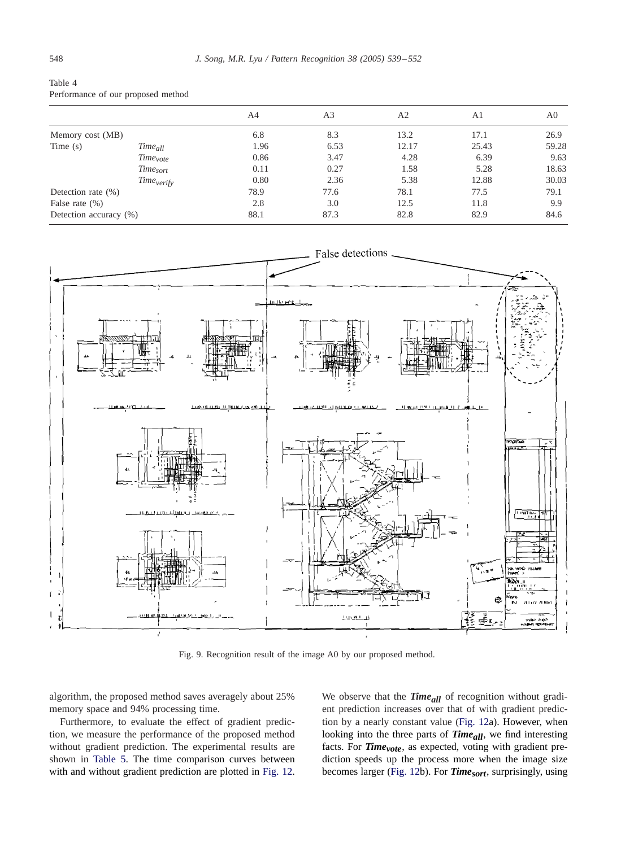<span id="page-9-0"></span>

| Table 4                            |  |  |
|------------------------------------|--|--|
| Performance of our proposed method |  |  |

|                        |                        | A4   | A <sub>3</sub> | A2    | A1    | A <sub>0</sub> |
|------------------------|------------------------|------|----------------|-------|-------|----------------|
| Memory cost (MB)       |                        | 6.8  | 8.3            | 13.2  | 17.1  | 26.9           |
| Time $(s)$             | Time <sub>all</sub>    | 1.96 | 6.53           | 12.17 | 25.43 | 59.28          |
|                        | Time <sub>vote</sub>   | 0.86 | 3.47           | 4.28  | 6.39  | 9.63           |
|                        | Time <sub>sort</sub>   | 0.11 | 0.27           | 1.58  | 5.28  | 18.63          |
|                        | Time <sub>verify</sub> | 0.80 | 2.36           | 5.38  | 12.88 | 30.03          |
| Detection rate $(\%)$  |                        | 78.9 | 77.6           | 78.1  | 77.5  | 79.1           |
| False rate $(\%)$      |                        | 2.8  | 3.0            | 12.5  | 11.8  | 9.9            |
| Detection accuracy (%) |                        | 88.1 | 87.3           | 82.8  | 82.9  | 84.6           |
|                        |                        |      |                |       |       |                |



Fig. 9. Recognition result of the image A0 by our proposed method.

algorithm, the proposed method saves averagely about 25% memory space and 94% processing time.

Furthermore, to evaluate the effect of gradient prediction, we measure the performance of the proposed method without gradient prediction. The experimental results are shown in [Table 5.](#page-10-0) The time comparison curves between with and without gradient prediction are plotted in [Fig. 12.](#page-11-0) We observe that the *Time<sub>all</sub>* of recognition without gradient prediction increases over that of with gradient prediction by a nearly constant value [\(Fig. 12a](#page-11-0)). However, when looking into the three parts of **Time**<sub>all</sub>, we find interesting facts. For *Time<sub>vote</sub>*, as expected, voting with gradient prediction speeds up the process more when the image size becomes larger [\(Fig. 12b](#page-11-0)). For *Timesort*, surprisingly, using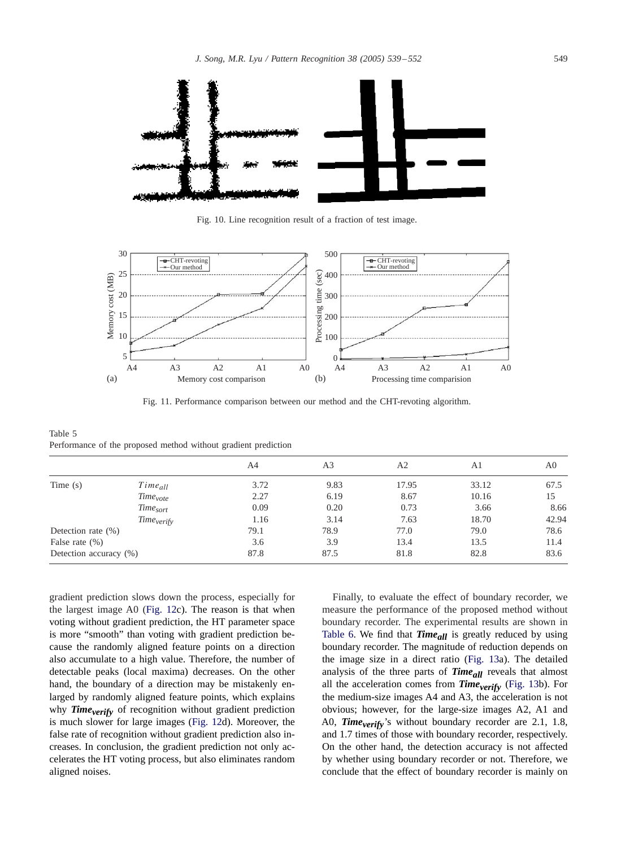<span id="page-10-0"></span>

Fig. 10. Line recognition result of a fraction of test image.



Fig. 11. Performance comparison between our method and the CHT-revoting algorithm.

Table 5 Performance of the proposed method without gradient prediction

|                            | A4                     | A <sub>3</sub> | A2    | A1    | A0    |
|----------------------------|------------------------|----------------|-------|-------|-------|
| $Time_{all}$               | 3.72                   | 9.83           | 17.95 | 33.12 | 67.5  |
| <i>Time<sub>vote</sub></i> | 2.27                   | 6.19           | 8.67  | 10.16 | 15    |
| Time <sub>sort</sub>       | 0.09                   | 0.20           | 0.73  | 3.66  | 8.66  |
|                            | 1.16                   | 3.14           | 7.63  | 18.70 | 42.94 |
| Detection rate $(\%)$      | 79.1                   | 78.9           | 77.0  | 79.0  | 78.6  |
|                            | 3.6                    | 3.9            | 13.4  | 13.5  | 11.4  |
| Detection accuracy (%)     | 87.8                   | 87.5           | 81.8  | 82.8  | 83.6  |
|                            | Time <sub>verify</sub> |                |       |       |       |

gradient prediction slows down the process, especially for the largest image A0 [\(Fig. 12c](#page-11-0)). The reason is that when voting without gradient prediction, the HT parameter space is more "smooth" than voting with gradient prediction because the randomly aligned feature points on a direction also accumulate to a high value. Therefore, the number of detectable peaks (local maxima) decreases. On the other hand, the boundary of a direction may be mistakenly enlarged by randomly aligned feature points, which explains why **Time**verify of recognition without gradient prediction is much slower for large images [\(Fig. 12d](#page-11-0)). Moreover, the false rate of recognition without gradient prediction also increases. In conclusion, the gradient prediction not only accelerates the HT voting process, but also eliminates random aligned noises.

Finally, to evaluate the effect of boundary recorder, we measure the performance of the proposed method without boundary recorder. The experimental results are shown in [Table 6.](#page-11-0) We find that  $Time_{all}$  is greatly reduced by using boundary recorder. The magnitude of reduction depends on the image size in a direct ratio [\(Fig. 13a](#page-12-0)). The detailed analysis of the three parts of *Timeall* reveals that almost all the acceleration comes from  $\textit{Time}_{\textit{verify}}$  [\(Fig. 13b](#page-12-0)). For the medium-size images A4 and A3, the acceleration is not obvious; however, for the large-size images A2, A1 and A0, *Time<sub>verify</sub>*'s without boundary recorder are 2.1, 1.8, and 1.7 times of those with boundary recorder, respectively. On the other hand, the detection accuracy is not affected by whether using boundary recorder or not. Therefore, we conclude that the effect of boundary recorder is mainly on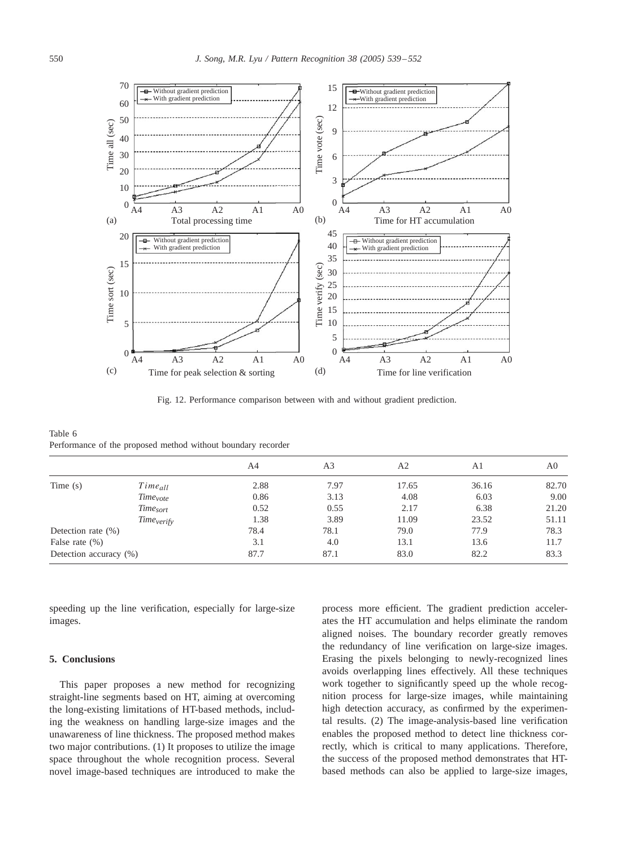<span id="page-11-0"></span>

Fig. 12. Performance comparison between with and without gradient prediction.

Table 6 Performance of the proposed method without boundary recorder

|                        |                        | A4   | A <sub>3</sub> | A2    | A1    | A <sub>0</sub> |
|------------------------|------------------------|------|----------------|-------|-------|----------------|
| Time $(s)$             | $Time_{all}$           | 2.88 | 7.97           | 17.65 | 36.16 | 82.70          |
|                        | Time <sub>vote</sub>   | 0.86 | 3.13           | 4.08  | 6.03  | 9.00           |
|                        | Time <sub>sort</sub>   | 0.52 | 0.55           | 2.17  | 6.38  | 21.20          |
|                        | Time <sub>verify</sub> | 1.38 | 3.89           | 11.09 | 23.52 | 51.11          |
| Detection rate $(\%)$  |                        | 78.4 | 78.1           | 79.0  | 77.9  | 78.3           |
| False rate $(\%)$      |                        | 3.1  | 4.0            | 13.1  | 13.6  | 11.7           |
| Detection accuracy (%) |                        | 87.7 | 87.1           | 83.0  | 82.2  | 83.3           |
|                        |                        |      |                |       |       |                |

speeding up the line verification, especially for large-size images.

## **5. Conclusions**

This paper proposes a new method for recognizing straight-line segments based on HT, aiming at overcoming the long-existing limitations of HT-based methods, including the weakness on handling large-size images and the unawareness of line thickness. The proposed method makes two major contributions. (1) It proposes to utilize the image space throughout the whole recognition process. Several novel image-based techniques are introduced to make the

process more efficient. The gradient prediction accelerates the HT accumulation and helps eliminate the random aligned noises. The boundary recorder greatly removes the redundancy of line verification on large-size images. Erasing the pixels belonging to newly-recognized lines avoids overlapping lines effectively. All these techniques work together to significantly speed up the whole recognition process for large-size images, while maintaining high detection accuracy, as confirmed by the experimental results. (2) The image-analysis-based line verification enables the proposed method to detect line thickness correctly, which is critical to many applications. Therefore, the success of the proposed method demonstrates that HTbased methods can also be applied to large-size images,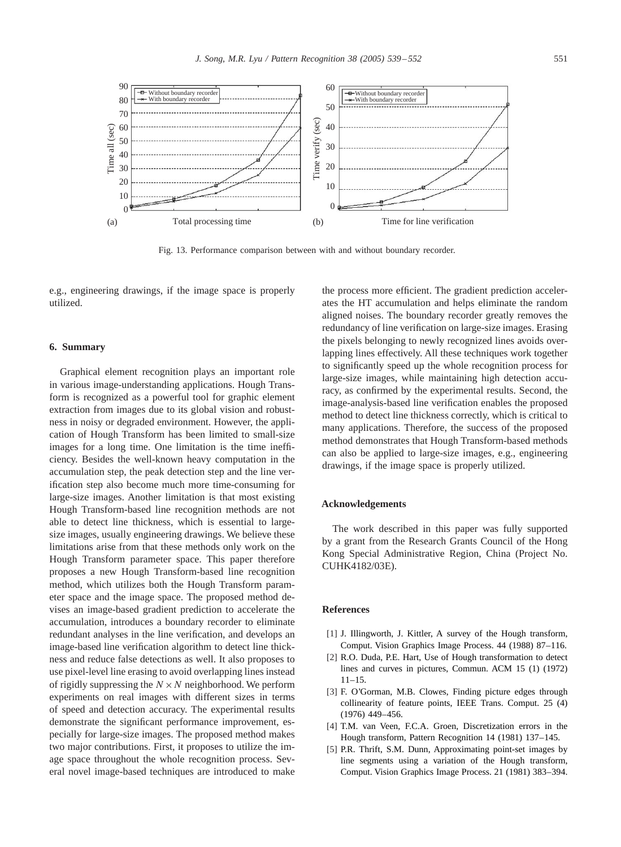<span id="page-12-0"></span>

Fig. 13. Performance comparison between with and without boundary recorder.

e.g., engineering drawings, if the image space is properly utilized.

## **6. Summary**

Graphical element recognition plays an important role in various image-understanding applications. Hough Transform is recognized as a powerful tool for graphic element extraction from images due to its global vision and robustness in noisy or degraded environment. However, the application of Hough Transform has been limited to small-size images for a long time. One limitation is the time inefficiency. Besides the well-known heavy computation in the accumulation step, the peak detection step and the line verification step also become much more time-consuming for large-size images. Another limitation is that most existing Hough Transform-based line recognition methods are not able to detect line thickness, which is essential to largesize images, usually engineering drawings. We believe these limitations arise from that these methods only work on the Hough Transform parameter space. This paper therefore proposes a new Hough Transform-based line recognition method, which utilizes both the Hough Transform parameter space and the image space. The proposed method devises an image-based gradient prediction to accelerate the accumulation, introduces a boundary recorder to eliminate redundant analyses in the line verification, and develops an image-based line verification algorithm to detect line thickness and reduce false detections as well. It also proposes to use pixel-level line erasing to avoid overlapping lines instead of rigidly suppressing the  $N \times N$  neighborhood. We perform experiments on real images with different sizes in terms of speed and detection accuracy. The experimental results demonstrate the significant performance improvement, especially for large-size images. The proposed method makes two major contributions. First, it proposes to utilize the image space throughout the whole recognition process. Several novel image-based techniques are introduced to make

the process more efficient. The gradient prediction accelerates the HT accumulation and helps eliminate the random aligned noises. The boundary recorder greatly removes the redundancy of line verification on large-size images. Erasing the pixels belonging to newly recognized lines avoids overlapping lines effectively. All these techniques work together to significantly speed up the whole recognition process for large-size images, while maintaining high detection accuracy, as confirmed by the experimental results. Second, the image-analysis-based line verification enables the proposed method to detect line thickness correctly, which is critical to many applications. Therefore, the success of the proposed method demonstrates that Hough Transform-based methods can also be applied to large-size images, e.g., engineering drawings, if the image space is properly utilized.

#### **Acknowledgements**

The work described in this paper was fully supported by a grant from the Research Grants Council of the Hong Kong Special Administrative Region, China (Project No. CUHK4182/03E).

#### **References**

- [1] J. Illingworth, J. Kittler, A survey of the Hough transform, Comput. Vision Graphics Image Process. 44 (1988) 87–116.
- [2] R.O. Duda, P.E. Hart, Use of Hough transformation to detect lines and curves in pictures, Commun. ACM 15 (1) (1972) 11–15.
- [3] F. O'Gorman, M.B. Clowes, Finding picture edges through collinearity of feature points, IEEE Trans. Comput. 25 (4) (1976) 449–456.
- [4] T.M. van Veen, F.C.A. Groen, Discretization errors in the Hough transform, Pattern Recognition 14 (1981) 137-145.
- [5] P.R. Thrift, S.M. Dunn, Approximating point-set images by line segments using a variation of the Hough transform, Comput. Vision Graphics Image Process. 21 (1981) 383–394.